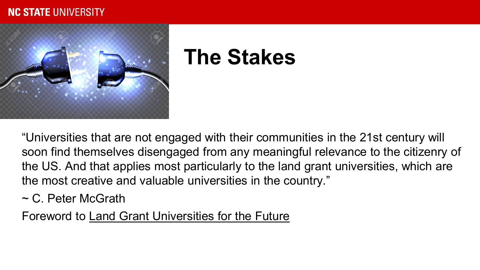#### **NC STATE UNIVERSITY**



### **The Stakes**

"Universities that are not engaged with their communities in the 21st century will soon find themselves disengaged from any meaningful relevance to the citizenry of the US. And that applies most particularly to the land grant universities, which are the most creative and valuable universities in the country."

 $\sim$  C. Peter McGrath

Foreword to Land Grant Universities for the Future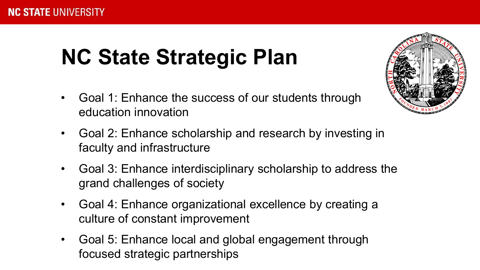### **NC State Strategic Plan**

- Goal 1: Enhance the success of our students through education innovation
- Goal 2: Enhance scholarship and research by investing in faculty and infrastructure
- Goal 3: Enhance interdisciplinary scholarship to address the grand challenges of society
- Goal 4: Enhance organizational excellence by creating a culture of constant improvement
- Goal 5: Enhance local and global engagement through focused strategic partnerships

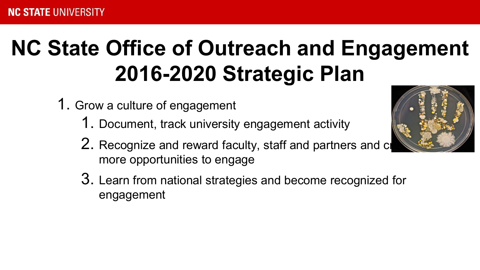# **NC State Office of Outreach and Engagement 2016-2020 Strategic Plan**

- 1. Grow a culture of engagement
	- 1. Document, track university engagement activity
	- 2. Recognize and reward faculty, staff and partners and create more opportunities to engage
	- 3. Learn from national strategies and become recognized for engagement

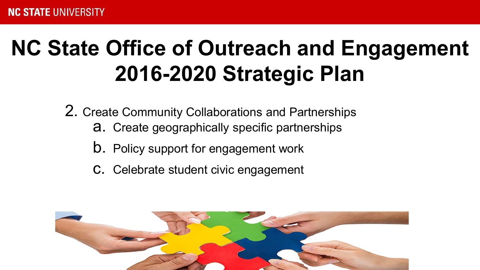## **NC State Office of Outreach and Engagement 2016-2020 Strategic Plan**

2. Create Community Collaborations and Partnerships

- a. Create geographically specific partnerships
- b. Policy support for engagement work
- c. Celebrate student civic engagement

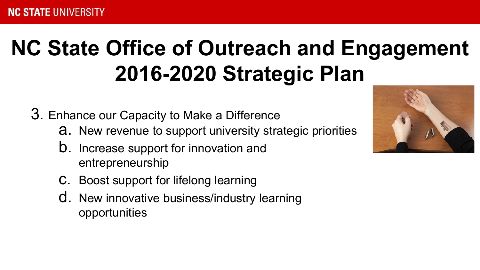# **NC State Office of Outreach and Engagement 2016-2020 Strategic Plan**

3. Enhance our Capacity to Make a Difference

- a. New revenue to support university strategic priorities
- b. Increase support for innovation and entrepreneurship
- c. Boost support for lifelong learning
- d. New innovative business/industry learning opportunities